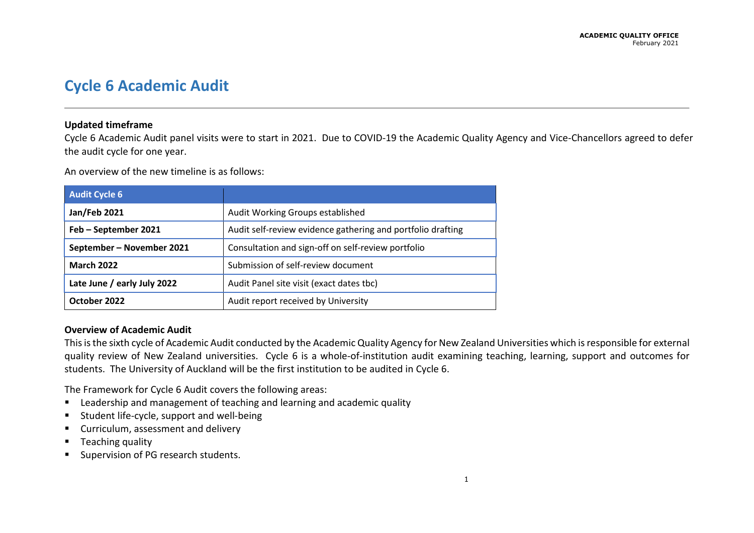# **Cycle 6 Academic Audit**

## **Updated timeframe**

Cycle 6 Academic Audit panel visits were to start in 2021. Due to COVID-19 the Academic Quality Agency and Vice-Chancellors agreed to defer the audit cycle for one year.

An overview of the new timeline is as follows:

| <b>Audit Cycle 6</b>        |                                                             |
|-----------------------------|-------------------------------------------------------------|
| Jan/Feb 2021                | Audit Working Groups established                            |
| Feb - September 2021        | Audit self-review evidence gathering and portfolio drafting |
| September - November 2021   | Consultation and sign-off on self-review portfolio          |
| <b>March 2022</b>           | Submission of self-review document                          |
| Late June / early July 2022 | Audit Panel site visit (exact dates tbc)                    |
| October 2022                | Audit report received by University                         |

#### **Overview of Academic Audit**

This is the sixth cycle of Academic Audit conducted by the Academic Quality Agency for New Zealand Universities which isresponsible for external quality review of New Zealand universities. Cycle 6 is a whole-of-institution audit examining teaching, learning, support and outcomes for students. The University of Auckland will be the first institution to be audited in Cycle 6.

The Framework for Cycle 6 Audit covers the following areas:

- **EXTERNIM** Leadership and management of teaching and learning and academic quality
- **EXECUTE:** Student life-cycle, support and well-being
- **E** Curriculum, assessment and delivery
- **Teaching quality**
- **Supervision of PG research students.**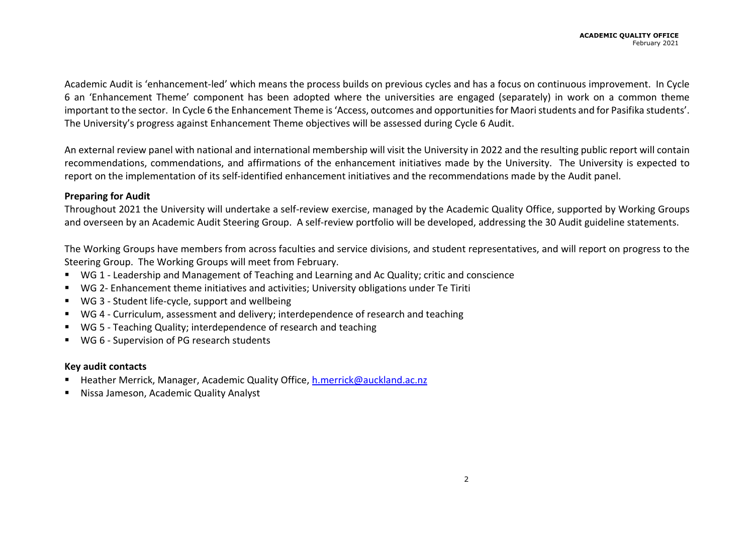Academic Audit is 'enhancement-led' which means the process builds on previous cycles and has a focus on continuous improvement. In Cycle 6 an 'Enhancement Theme' component has been adopted where the universities are engaged (separately) in work on a common theme important to the sector. In Cycle 6 the Enhancement Theme is 'Access, outcomes and opportunities for Maori students and for Pasifika students'. The University's progress against Enhancement Theme objectives will be assessed during Cycle 6 Audit.

An external review panel with national and international membership will visit the University in 2022 and the resulting public report will contain recommendations, commendations, and affirmations of the enhancement initiatives made by the University. The University is expected to report on the implementation of its self-identified enhancement initiatives and the recommendations made by the Audit panel.

### **Preparing for Audit**

Throughout 2021 the University will undertake a self-review exercise, managed by the Academic Quality Office, supported by Working Groups and overseen by an Academic Audit Steering Group. A self-review portfolio will be developed, addressing the 30 Audit guideline statements.

The Working Groups have members from across faculties and service divisions, and student representatives, and will report on progress to the Steering Group. The Working Groups will meet from February.

- WG 1 Leadership and Management of Teaching and Learning and Ac Quality; critic and conscience
- WG 2- Enhancement theme initiatives and activities; University obligations under Te Tiriti
- WG 3 Student life-cycle, support and wellbeing
- WG 4 Curriculum, assessment and delivery; interdependence of research and teaching
- WG 5 Teaching Quality; interdependence of research and teaching
- WG 6 Supervision of PG research students

## **Key audit contacts**

- Heather Merrick, Manager, Academic Quality Office, [h.merrick@auckland.ac.nz](mailto:h.merrick@auckland.ac.nz)
- Nissa Jameson, Academic Quality Analyst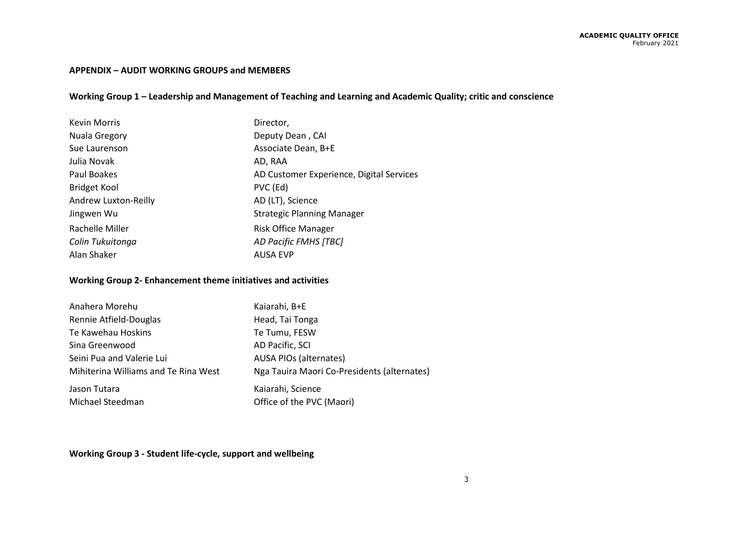#### **APPENDIX – AUDIT WORKING GROUPS and MEMBERS**

## **Working Group 1 – Leadership and Management of Teaching and Learning and Academic Quality; critic and conscience**

| <b>Kevin Morris</b>  | Director,                                |
|----------------------|------------------------------------------|
| Nuala Gregory        | Deputy Dean, CAI                         |
| Sue Laurenson        | Associate Dean, B+E                      |
| Julia Novak          | AD, RAA                                  |
| Paul Boakes          | AD Customer Experience, Digital Services |
| <b>Bridget Kool</b>  | PVC (Ed)                                 |
| Andrew Luxton-Reilly | AD (LT), Science                         |
| Jingwen Wu           | <b>Strategic Planning Manager</b>        |
| Rachelle Miller      | <b>Risk Office Manager</b>               |
| Colin Tukuitonga     | AD Pacific FMHS [TBC]                    |
| Alan Shaker          | <b>AUSA EVP</b>                          |

## **Working Group 2- Enhancement theme initiatives and activities**

| Anahera Morehu                       | Kaiarahi, B+E                               |
|--------------------------------------|---------------------------------------------|
| Rennie Atfield-Douglas               | Head, Tai Tonga                             |
| Te Kawehau Hoskins                   | Te Tumu, FESW                               |
| Sina Greenwood                       | AD Pacific, SCI                             |
| Seini Pua and Valerie Lui            | <b>AUSA PIOs (alternates)</b>               |
| Mihiterina Williams and Te Rina West | Nga Tauira Maori Co-Presidents (alternates) |
| Jason Tutara                         | Kaiarahi, Science                           |
| Michael Steedman                     | Office of the PVC (Maori)                   |

**Working Group 3 - Student life-cycle, support and wellbeing**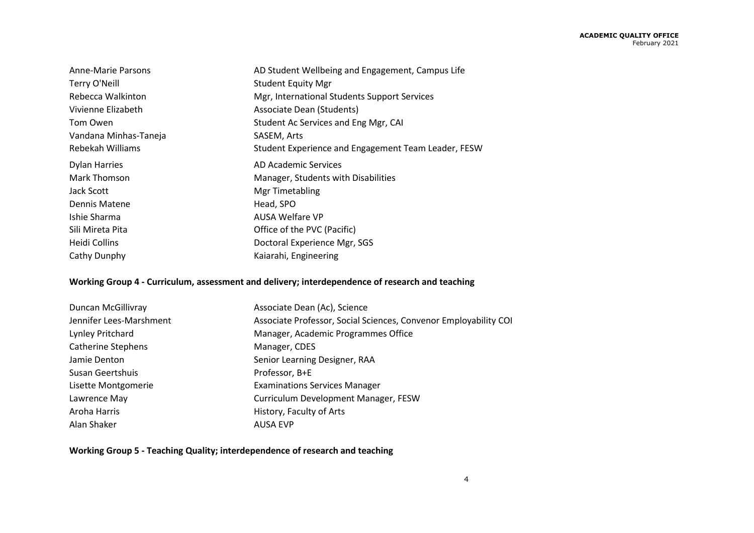| Anne-Marie Parsons    | AD Student Wellbeing and Engagement, Campus Life    |
|-----------------------|-----------------------------------------------------|
| Terry O'Neill         | <b>Student Equity Mgr</b>                           |
| Rebecca Walkinton     | Mgr, International Students Support Services        |
| Vivienne Elizabeth    | Associate Dean (Students)                           |
| Tom Owen              | Student Ac Services and Eng Mgr, CAI                |
| Vandana Minhas-Taneja | SASEM, Arts                                         |
| Rebekah Williams      | Student Experience and Engagement Team Leader, FESW |
| <b>Dylan Harries</b>  | AD Academic Services                                |
| Mark Thomson          | Manager, Students with Disabilities                 |
| Jack Scott            | <b>Mgr Timetabling</b>                              |
| Dennis Matene         | Head, SPO                                           |
| Ishie Sharma          | AUSA Welfare VP                                     |
| Sili Mireta Pita      | Office of the PVC (Pacific)                         |
| Heidi Collins         | Doctoral Experience Mgr, SGS                        |
| Cathy Dunphy          | Kaiarahi, Engineering                               |

## **Working Group 4 - Curriculum, assessment and delivery; interdependence of research and teaching**

| Duncan McGillivray        | Associate Dean (Ac), Science                                     |
|---------------------------|------------------------------------------------------------------|
| Jennifer Lees-Marshment   | Associate Professor, Social Sciences, Convenor Employability COI |
| Lynley Pritchard          | Manager, Academic Programmes Office                              |
| <b>Catherine Stephens</b> | Manager, CDES                                                    |
| Jamie Denton              | Senior Learning Designer, RAA                                    |
| Susan Geertshuis          | Professor, B+E                                                   |
| Lisette Montgomerie       | <b>Examinations Services Manager</b>                             |
| Lawrence May              | Curriculum Development Manager, FESW                             |
| Aroha Harris              | History, Faculty of Arts                                         |
| Alan Shaker               | <b>AUSA EVP</b>                                                  |

**Working Group 5 - Teaching Quality; interdependence of research and teaching**